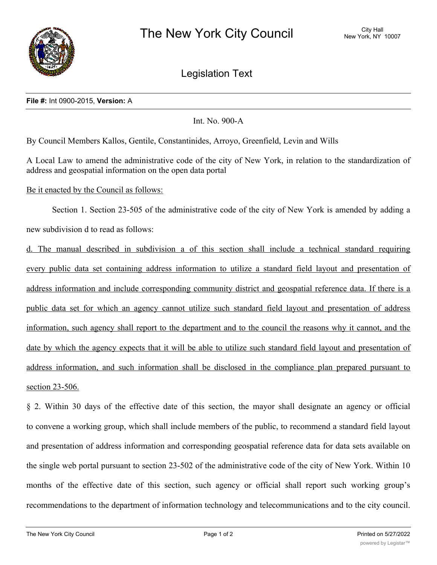

Legislation Text

## **File #:** Int 0900-2015, **Version:** A

Int. No. 900-A

By Council Members Kallos, Gentile, Constantinides, Arroyo, Greenfield, Levin and Wills

A Local Law to amend the administrative code of the city of New York, in relation to the standardization of address and geospatial information on the open data portal

Be it enacted by the Council as follows:

Section 1. Section 23-505 of the administrative code of the city of New York is amended by adding a new subdivision d to read as follows:

d. The manual described in subdivision a of this section shall include a technical standard requiring every public data set containing address information to utilize a standard field layout and presentation of address information and include corresponding community district and geospatial reference data. If there is a public data set for which an agency cannot utilize such standard field layout and presentation of address information, such agency shall report to the department and to the council the reasons why it cannot, and the date by which the agency expects that it will be able to utilize such standard field layout and presentation of address information, and such information shall be disclosed in the compliance plan prepared pursuant to section 23-506.

§ 2. Within 30 days of the effective date of this section, the mayor shall designate an agency or official to convene a working group, which shall include members of the public, to recommend a standard field layout and presentation of address information and corresponding geospatial reference data for data sets available on the single web portal pursuant to section 23-502 of the administrative code of the city of New York. Within 10 months of the effective date of this section, such agency or official shall report such working group's recommendations to the department of information technology and telecommunications and to the city council.